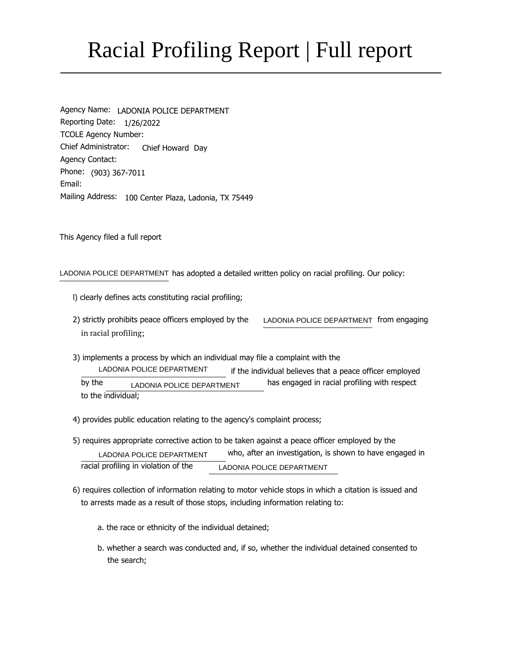# Racial Profiling Report | Full report

Agency Name: LADONIA POLICE DEPARTMENT Reporting Date: 1/26/2022 Chief Administrator: Chief Howard Day Phone: (903) 367-7011 Mailing Address: 100 Center Plaza, Ladonia, TX 75449 TCOLE Agency Number: Email: Agency Contact:

This Agency filed a full report

LADONIA POLICE DEPARTMENT has adopted a detailed written policy on racial profiling. Our policy:

- l) clearly defines acts constituting racial profiling;
- LADONIA POLICE DEPARTMENT from engaging 2) strictly prohibits peace officers employed by the in racial profiling;
- LADONIA POLICE DEPARTMENT LADONIA POLICE DEPARTMENT 3) implements a process by which an individual may file a complaint with the if the individual believes that a peace officer employed by the **has engaged in racial profiling with respect** to the individual;
- 4) provides public education relating to the agency's complaint process;
- LADONIA POLICE DEPARTMENT LADONIA POLICE DEPARTMENT 5) requires appropriate corrective action to be taken against a peace officer employed by the who, after an investigation, is shown to have engaged in racial profiling in violation of the
- 6) requires collection of information relating to motor vehicle stops in which a citation is issued and to arrests made as a result of those stops, including information relating to:
	- a. the race or ethnicity of the individual detained;
	- b. whether a search was conducted and, if so, whether the individual detained consented to the search;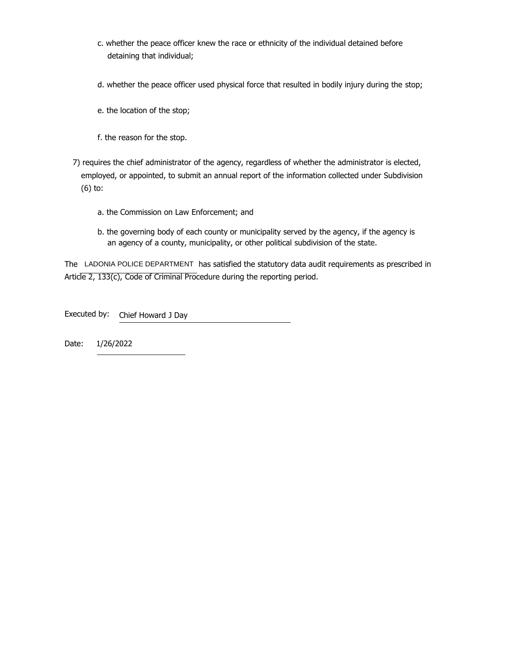- c. whether the peace officer knew the race or ethnicity of the individual detained before detaining that individual;
- d. whether the peace officer used physical force that resulted in bodily injury during the stop;
- e. the location of the stop;
- f. the reason for the stop.
- 7) requires the chief administrator of the agency, regardless of whether the administrator is elected, employed, or appointed, to submit an annual report of the information collected under Subdivision (6) to:
	- a. the Commission on Law Enforcement; and
	- b. the governing body of each county or municipality served by the agency, if the agency is an agency of a county, municipality, or other political subdivision of the state.

The LADONIA POLICE DEPARTMENT has satisfied the statutory data audit requirements as prescribed in Article 2, 133(c), Code of Criminal Procedure during the reporting period.

Chief Howard J Day Executed by:

1/26/2022 Date: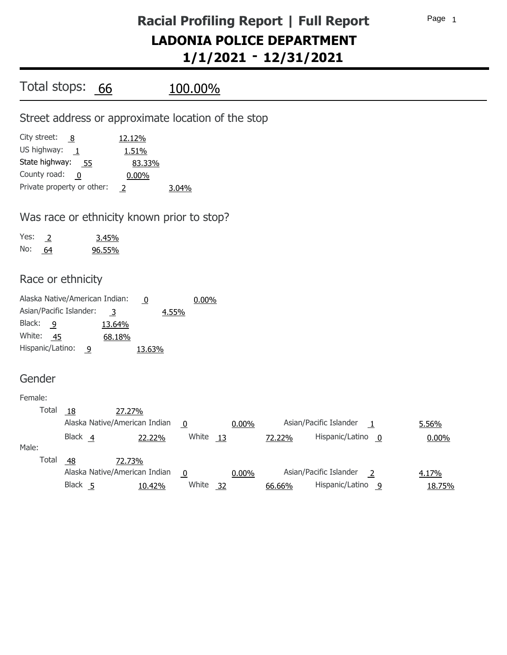| Total stops: 66                                                                                                                           |                                                                         | <u>100.00%</u>                                     |                                                                         |                 |
|-------------------------------------------------------------------------------------------------------------------------------------------|-------------------------------------------------------------------------|----------------------------------------------------|-------------------------------------------------------------------------|-----------------|
|                                                                                                                                           |                                                                         | Street address or approximate location of the stop |                                                                         |                 |
| City street:<br>8<br>US highway:<br>$\mathbf{\perp}$<br>State highway: 55<br>County road:<br>$\overline{0}$<br>Private property or other: | 12.12%<br>1.51%<br>83.33%<br>0.00%<br><sup>2</sup>                      | 3.04%                                              |                                                                         |                 |
|                                                                                                                                           | Was race or ethnicity known prior to stop?                              |                                                    |                                                                         |                 |
| Yes:<br>$\overline{2}$<br>No:<br>64                                                                                                       | 3.45%<br>96.55%                                                         |                                                    |                                                                         |                 |
| Race or ethnicity                                                                                                                         |                                                                         |                                                    |                                                                         |                 |
| Alaska Native/American Indian:<br>Asian/Pacific Islander:<br>Black:<br>$\overline{9}$<br>White:<br>- 45<br>Hispanic/Latino:<br>9          | $\overline{0}$<br>$\overline{3}$<br>4.55%<br>13.64%<br>68.18%<br>13.63% | 0.00%                                              |                                                                         |                 |
| Gender                                                                                                                                    |                                                                         |                                                    |                                                                         |                 |
| Female:<br>Total<br>18                                                                                                                    | 27.27%<br>Alaska Native/American Indian                                 | 0.00%<br>$\overline{0}$                            | Asian/Pacific Islander<br>$\overline{1}$                                | 5.56%           |
| Black 4<br>Male:                                                                                                                          | 22.22%                                                                  | White $13$                                         | Hispanic/Latino 0<br>72.22%                                             | 0.00%           |
| Total<br>$\frac{48}{1}$<br>Black 5                                                                                                        | 72.73%<br>Alaska Native/American Indian<br>10.42%                       | 0.00%<br>$\overline{0}$<br>White 32                | Asian/Pacific Islander<br>$\overline{2}$<br>Hispanic/Latino 9<br>66.66% | 4.17%<br>18.75% |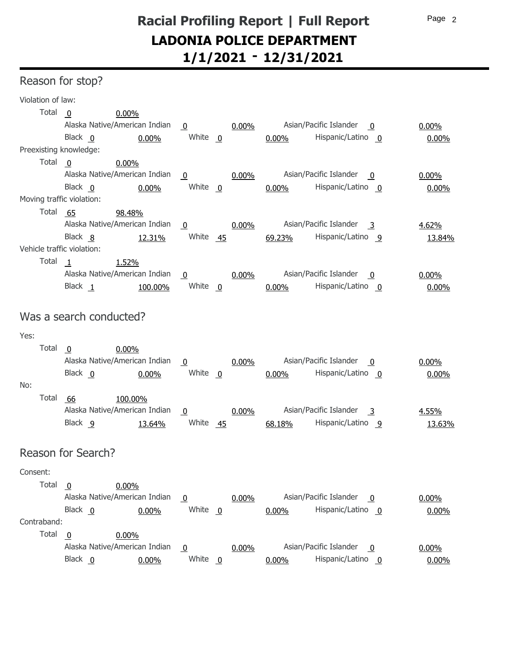### Reason for stop?

| Violation of law:          |                                  |                                 |          |                                                   |          |
|----------------------------|----------------------------------|---------------------------------|----------|---------------------------------------------------|----------|
| Total                      | 0.00%<br>0                       |                                 |          |                                                   |          |
|                            | Alaska Native/American Indian    | $\overline{0}$                  | 0.00%    | Asian/Pacific Islander<br>- 0                     | $0.00\%$ |
|                            | Black 0<br>0.00%                 | White 0                         |          | Hispanic/Latino 0<br>0.00%                        | $0.00\%$ |
| Preexisting knowledge:     |                                  |                                 |          |                                                   |          |
| Total                      | 0.00%<br>$\overline{0}$          |                                 |          |                                                   |          |
|                            | Alaska Native/American Indian    | <u>0</u>                        | 0.00%    | Asian/Pacific Islander<br>- 0                     | $0.00\%$ |
|                            | Black 0<br>0.00%                 | White $0$                       |          | Hispanic/Latino 0<br>0.00%                        | $0.00\%$ |
| Moving traffic violation:  |                                  |                                 |          |                                                   |          |
| Total                      | 65<br>98.48%                     |                                 |          |                                                   |          |
|                            | Alaska Native/American Indian    | <u>0</u>                        | 0.00%    | Asian/Pacific Islander<br>$\overline{\mathbf{3}}$ | 4.62%    |
|                            | Black 8                          | White 45<br>12.31%              |          | Hispanic/Latino 9<br>69.23%                       | 13.84%   |
| Vehicle traffic violation: |                                  |                                 |          |                                                   |          |
| Total                      | 1.52%<br>1                       |                                 |          |                                                   |          |
|                            | Alaska Native/American Indian    | $\overline{0}$                  | 0.00%    | Asian/Pacific Islander<br>0                       | $0.00\%$ |
|                            | Black 1                          | White $\overline{0}$<br>100.00% |          | Hispanic/Latino 0<br>$0.00\%$                     | 0.00%    |
|                            |                                  |                                 |          |                                                   |          |
|                            | Was a search conducted?          |                                 |          |                                                   |          |
| Yes:                       |                                  |                                 |          |                                                   |          |
| Total                      | 0.00%<br>$\overline{\mathbf{0}}$ |                                 |          |                                                   |          |
|                            | Alaska Native/American Indian    | $\overline{0}$                  | 0.00%    | Asian/Pacific Islander<br>0                       | $0.00\%$ |
|                            | Black 0<br>0.00%                 | White $\overline{0}$            |          | Hispanic/Latino 0<br>0.00%                        | $0.00\%$ |
| No:                        |                                  |                                 |          |                                                   |          |
| Total                      | -66<br>100.00%                   |                                 |          |                                                   |          |
|                            | Alaska Native/American Indian    | $\overline{0}$                  | $0.00\%$ | Asian/Pacific Islander<br>$\overline{\mathbf{3}}$ | 4.55%    |
|                            | Black 9                          | White<br>13.64%                 | $-45$    | Hispanic/Latino 9<br>68.18%                       | 13.63%   |
|                            |                                  |                                 |          |                                                   |          |
|                            | Reason for Search?               |                                 |          |                                                   |          |
| Consent:                   |                                  |                                 |          |                                                   |          |
| Total                      | 0.00%<br>0                       |                                 |          |                                                   |          |
|                            | Alaska Native/American Indian    | <u>0</u>                        | 0.00%    | Asian/Pacific Islander<br>- 0                     | $0.00\%$ |
|                            | Black 0<br>0.00%                 | White $0$                       |          | Hispanic/Latino 0<br>0.00%                        | 0.00%    |
| Contraband:                |                                  |                                 |          |                                                   |          |
| Total                      | 0.00%<br>$\mathbf 0$             |                                 |          |                                                   |          |
|                            | Alaska Native/American Indian    | $\overline{0}$                  | 0.00%    | Asian/Pacific Islander<br>$\mathbf 0$             | $0.00\%$ |
|                            | Black 0<br>0.00%                 | White $0$                       |          | Hispanic/Latino 0<br>0.00%                        | $0.00\%$ |
|                            |                                  |                                 |          |                                                   |          |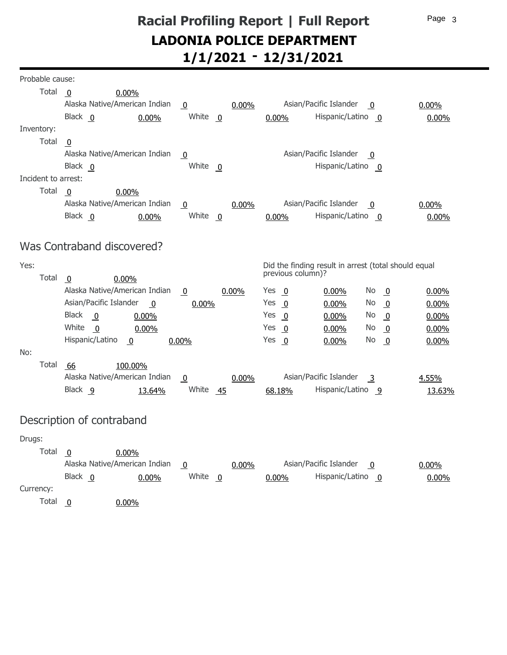| Probable cause:     |                                                   |                              |                                                                           |          |
|---------------------|---------------------------------------------------|------------------------------|---------------------------------------------------------------------------|----------|
| Total               | 0.00%<br>- 0                                      |                              |                                                                           |          |
|                     | Alaska Native/American Indian                     | 0.00%<br>$\overline{0}$      | Asian/Pacific Islander<br>0                                               | 0.00%    |
|                     | Black 0<br>0.00%                                  | White $\overline{0}$         | Hispanic/Latino 0<br>$0.00\%$                                             | 0.00%    |
| Inventory:          |                                                   |                              |                                                                           |          |
| Total               | $\mathbf 0$                                       |                              |                                                                           |          |
|                     | Alaska Native/American Indian                     | $\overline{0}$               | Asian/Pacific Islander<br>$\mathbf 0$                                     |          |
|                     | Black 0                                           | White 0                      | Hispanic/Latino 0                                                         |          |
| Incident to arrest: |                                                   |                              |                                                                           |          |
| Total               | $\overline{0}$<br>0.00%                           |                              |                                                                           |          |
|                     | Alaska Native/American Indian                     | $0.00\%$<br>$\overline{0}$   | Asian/Pacific Islander<br>0                                               | $0.00\%$ |
|                     | Black 0<br>0.00%                                  | White $\overline{0}$         | Hispanic/Latino 0<br>0.00%                                                | 0.00%    |
|                     |                                                   |                              |                                                                           |          |
|                     | Was Contraband discovered?                        |                              |                                                                           |          |
| Yes:                |                                                   |                              | Did the finding result in arrest (total should equal                      |          |
| Total               | 0.00%<br>$\overline{0}$                           |                              | previous column)?                                                         |          |
|                     | Alaska Native/American Indian                     | $\overline{0}$<br>0.00%      | Yes<br>No<br>$\overline{\mathbf{0}}$<br>$0.00\%$<br>$\overline{0}$        | 0.00%    |
|                     | Asian/Pacific Islander<br>$\overline{\mathbf{0}}$ | 0.00%                        | Yes<br>0.00%<br>No.<br>$\overline{0}$<br>$\overline{0}$                   | 0.00%    |
|                     | <b>Black</b><br>$\overline{\mathbf{0}}$<br>0.00%  |                              | Yes<br>$\overline{0}$<br>0.00%<br>No.<br>$\overline{0}$                   | 0.00%    |
|                     | White<br>$\overline{0}$<br>0.00%                  |                              | Yes<br>$\overline{0}$<br>No.<br>$\overline{0}$<br>0.00%                   | 0.00%    |
|                     | Hispanic/Latino<br>$\overline{0}$                 | $0.00\%$                     | Yes<br>No.<br>$\overline{\mathbf{0}}$<br>0.00%<br>$\overline{\mathbf{0}}$ | 0.00%    |
| No:                 |                                                   |                              |                                                                           |          |
| Total               | 66<br>100.00%                                     |                              |                                                                           |          |
|                     | Alaska Native/American Indian                     | $0.00\%$<br>$\boldsymbol{0}$ | Asian/Pacific Islander<br>$\overline{3}$                                  | 4.55%    |
|                     | Black 9<br>13.64%                                 | White 45                     | Hispanic/Latino 9<br>68.18%                                               | 13.63%   |
|                     |                                                   |                              |                                                                           |          |
|                     | Description of contraband                         |                              |                                                                           |          |
| Drugs:              |                                                   |                              |                                                                           |          |
| Total               | $0.00\%$<br>0                                     |                              |                                                                           |          |
|                     | Alaska Native/American Indian                     | 0.00%<br>$\overline{0}$      | Asian/Pacific Islander<br>$\overline{0}$                                  | 0.00%    |

Black White Hispanic/Latino 0 0 0 0.00% 0.00% 0.00%

Currency:

Total  $\overline{0}$ 0.00%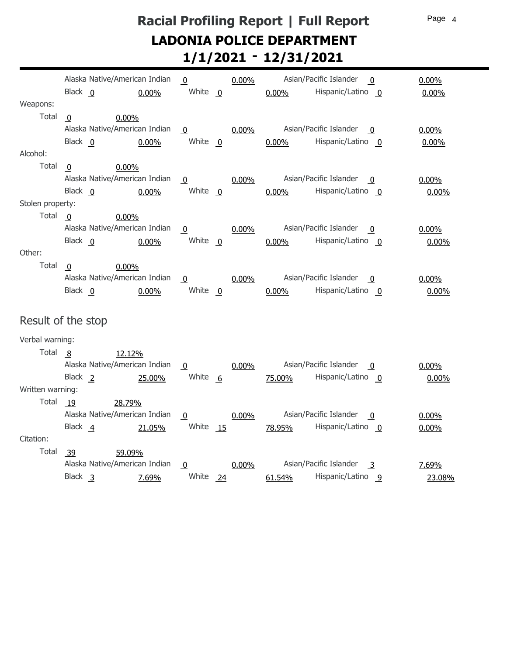Page 4

### **Racial Profiling Report | Full Report - 1/1/2021 12/31/2021 LADONIA POLICE DEPARTMENT**

|                  |                         | Alaska Native/American Indian | $\mathbf 0$        |     | $0.00\%$ |          | Asian/Pacific Islander<br>$\mathbf{0}$            | $0.00\%$ |
|------------------|-------------------------|-------------------------------|--------------------|-----|----------|----------|---------------------------------------------------|----------|
|                  | Black 0                 | 0.00%                         | White $\mathbf{0}$ |     |          | 0.00%    | Hispanic/Latino 0                                 | 0.00%    |
| Weapons:         |                         |                               |                    |     |          |          |                                                   |          |
| Total            | $\mathbf 0$             | 0.00%                         |                    |     |          |          |                                                   |          |
|                  |                         | Alaska Native/American Indian | $\mathbf 0$        |     | $0.00\%$ |          | Asian/Pacific Islander<br>0                       | $0.00\%$ |
|                  | Black 0                 | 0.00%                         | White $0$          |     |          | $0.00\%$ | Hispanic/Latino 0                                 | 0.00%    |
| Alcohol:         |                         |                               |                    |     |          |          |                                                   |          |
| Total            | $\mathbf 0$             | 0.00%                         |                    |     |          |          |                                                   |          |
|                  |                         | Alaska Native/American Indian | $\overline{0}$     |     | $0.00\%$ |          | Asian/Pacific Islander<br>$\mathbf{0}$            | $0.00\%$ |
|                  | Black 0                 | 0.00%                         | White $\mathbf{0}$ |     |          | $0.00\%$ | Hispanic/Latino 0                                 | 0.00%    |
| Stolen property: |                         |                               |                    |     |          |          |                                                   |          |
| Total            | - 0                     | 0.00%                         |                    |     |          |          |                                                   |          |
|                  |                         | Alaska Native/American Indian | $\overline{0}$     |     | $0.00\%$ |          | Asian/Pacific Islander<br>$\mathbf{0}$            | $0.00\%$ |
|                  | Black 0                 | 0.00%                         | White 0            |     |          | $0.00\%$ | Hispanic/Latino 0                                 | 0.00%    |
| Other:           |                         |                               |                    |     |          |          |                                                   |          |
| Total            | $\overline{\mathbf{0}}$ | 0.00%                         |                    |     |          |          |                                                   |          |
|                  |                         | Alaska Native/American Indian | $\overline{0}$     |     | $0.00\%$ |          | Asian/Pacific Islander<br>0                       | $0.00\%$ |
|                  | Black 0                 | 0.00%                         | White 0            |     |          | 0.00%    | Hispanic/Latino 0                                 | 0.00%    |
|                  |                         |                               |                    |     |          |          |                                                   |          |
|                  | Result of the stop      |                               |                    |     |          |          |                                                   |          |
| Verbal warning:  |                         |                               |                    |     |          |          |                                                   |          |
| Total            | - 8                     | 12.12%                        |                    |     |          |          |                                                   |          |
|                  |                         | Alaska Native/American Indian | 0                  |     | $0.00\%$ |          | Asian/Pacific Islander<br>$\Omega$                | $0.00\%$ |
|                  | Black <sub>2</sub>      | 25.00%                        | White 6            |     |          | 75.00%   | Hispanic/Latino 0                                 | 0.00%    |
| Written warning: |                         |                               |                    |     |          |          |                                                   |          |
| Total            | 19                      | 28.79%                        |                    |     |          |          |                                                   |          |
|                  |                         | Alaska Native/American Indian | $\overline{0}$     |     | $0.00\%$ |          | Asian/Pacific Islander<br>$\mathbf{0}$            | $0.00\%$ |
|                  | Black 4                 | 21.05%                        | White 15           |     |          | 78.95%   | Hispanic/Latino 0                                 | $0.00\%$ |
| Citation:        |                         |                               |                    |     |          |          |                                                   |          |
| Total            | -39                     | 59.09%                        |                    |     |          |          |                                                   |          |
|                  |                         | Alaska Native/American Indian | $\overline{0}$     |     | 0.00%    |          | Asian/Pacific Islander<br>$\overline{\mathbf{3}}$ | 7.69%    |
|                  | Black <sub>3</sub>      | 7.69%                         | White              | -24 |          | 61.54%   | Hispanic/Latino 9                                 | 23.08%   |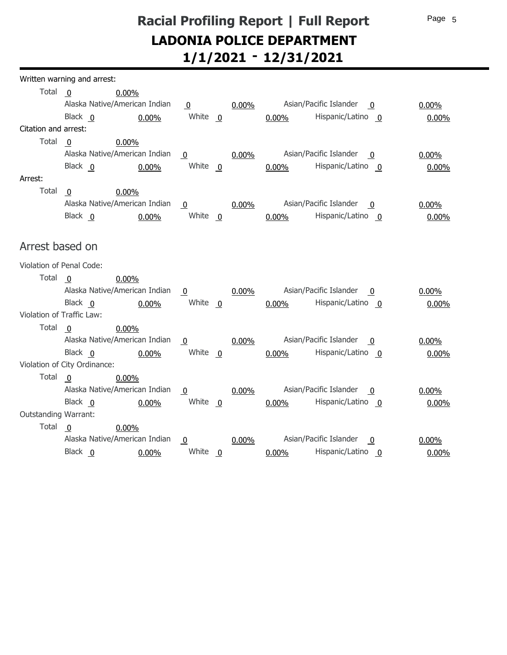|                           | Written warning and arrest:  |                               |                      |          |          |                                                   |          |
|---------------------------|------------------------------|-------------------------------|----------------------|----------|----------|---------------------------------------------------|----------|
| Total                     | $\overline{\mathbf{0}}$      | $0.00\%$                      |                      |          |          |                                                   |          |
|                           |                              | Alaska Native/American Indian | $\overline{0}$       | $0.00\%$ |          | Asian/Pacific Islander<br>- 0                     | $0.00\%$ |
|                           | Black 0                      | $0.00\%$                      | White $\overline{0}$ |          | $0.00\%$ | Hispanic/Latino 0                                 | $0.00\%$ |
| Citation and arrest:      |                              |                               |                      |          |          |                                                   |          |
| Total                     | $\overline{0}$               | 0.00%                         |                      |          |          |                                                   |          |
|                           |                              | Alaska Native/American Indian | $\bf{0}$             | $0.00\%$ |          | Asian/Pacific Islander<br>$\overline{0}$          | $0.00\%$ |
|                           | Black 0                      | 0.00%                         | White $\mathbf{0}$   |          | 0.00%    | Hispanic/Latino 0                                 | $0.00\%$ |
| Arrest:                   |                              |                               |                      |          |          |                                                   |          |
| Total                     | $\overline{0}$               | 0.00%                         |                      |          |          |                                                   |          |
|                           |                              | Alaska Native/American Indian | $\overline{0}$       | $0.00\%$ |          | Asian/Pacific Islander<br>0                       | $0.00\%$ |
|                           | Black 0                      | 0.00%                         | White 0              |          | 0.00%    | Hispanic/Latino 0                                 | 0.00%    |
|                           |                              |                               |                      |          |          |                                                   |          |
| Arrest based on           |                              |                               |                      |          |          |                                                   |          |
| Violation of Penal Code:  |                              |                               |                      |          |          |                                                   |          |
| Total                     | $\overline{\mathbf{0}}$      | 0.00%                         |                      |          |          |                                                   |          |
|                           |                              | Alaska Native/American Indian | $\overline{0}$       | $0.00\%$ |          | Asian/Pacific Islander<br>0                       | $0.00\%$ |
|                           | Black 0                      | 0.00%                         | White $0$            |          | $0.00\%$ | Hispanic/Latino 0                                 | $0.00\%$ |
| Violation of Traffic Law: |                              |                               |                      |          |          |                                                   |          |
| Total                     | - 0                          | 0.00%                         |                      |          |          |                                                   |          |
|                           |                              | Alaska Native/American Indian | $\overline{0}$       | $0.00\%$ |          | Asian/Pacific Islander<br>0                       | $0.00\%$ |
|                           | Black 0                      | 0.00%                         | White $0$            |          | $0.00\%$ | Hispanic/Latino 0                                 | 0.00%    |
|                           | Violation of City Ordinance: |                               |                      |          |          |                                                   |          |
| Total                     | - 0                          | 0.00%                         |                      |          |          |                                                   |          |
|                           |                              | Alaska Native/American Indian | $\overline{0}$       | $0.00\%$ |          | Asian/Pacific Islander<br>$\overline{0}$          | $0.00\%$ |
|                           | Black 0                      | 0.00%                         | White $\overline{0}$ |          | 0.00%    | Hispanic/Latino 0                                 | $0.00\%$ |
| Outstanding Warrant:      |                              |                               |                      |          |          |                                                   |          |
| Total                     | $\overline{\mathbf{0}}$      | 0.00%                         |                      |          |          |                                                   |          |
|                           |                              | Alaska Native/American Indian | $\overline{0}$       | 0.00%    |          | Asian/Pacific Islander<br>$\overline{\mathbf{0}}$ | $0.00\%$ |
|                           | Black 0                      | 0.00%                         | White 0              |          | $0.00\%$ | Hispanic/Latino 0                                 | 0.00%    |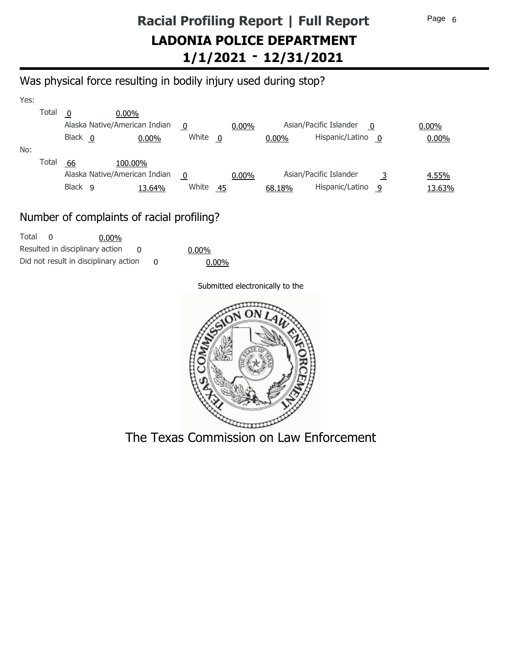### Was physical force resulting in bodily injury used during stop?

| Yes: |       |                    |                               |       |     |          |          |                             |              |          |
|------|-------|--------------------|-------------------------------|-------|-----|----------|----------|-----------------------------|--------------|----------|
|      | Total | 0                  | $0.00\%$                      |       |     |          |          |                             |              |          |
|      |       |                    | Alaska Native/American Indian | 0     |     | $0.00\%$ |          | Asian/Pacific Islander<br>0 |              | $0.00\%$ |
|      |       | Black 0            | $0.00\%$                      | White | - 0 |          | $0.00\%$ | Hispanic/Latino             | $\mathbf{0}$ | 0.00%    |
| No:  |       |                    |                               |       |     |          |          |                             |              |          |
|      | Total | 66                 | 100.00%                       |       |     |          |          |                             |              |          |
|      |       |                    | Alaska Native/American Indian | 0     |     | $0.00\%$ |          | Asian/Pacific Islander      |              | 4.55%    |
|      |       | Black <sub>9</sub> | 13.64%                        | White | 45  |          | 68.18%   | Hispanic/Latino             | -9           | 13.63%   |

### Number of complaints of racial profiling?

| Total |                                       | $0.00\%$ |  |     |
|-------|---------------------------------------|----------|--|-----|
|       | Resulted in disciplinary action       |          |  | 0.0 |
|       | Did not result in disciplinary action |          |  |     |

00% 0.00%

#### Submitted electronically to the



The Texas Commission on Law Enforcement

Page 6